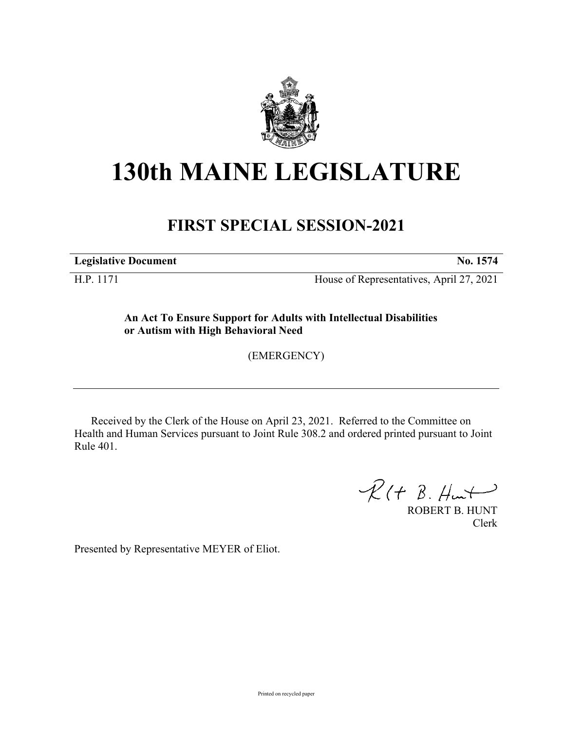

# **130th MAINE LEGISLATURE**

## **FIRST SPECIAL SESSION-2021**

**Legislative Document No. 1574**

H.P. 1171 House of Representatives, April 27, 2021

**An Act To Ensure Support for Adults with Intellectual Disabilities or Autism with High Behavioral Need**

(EMERGENCY)

Received by the Clerk of the House on April 23, 2021. Referred to the Committee on Health and Human Services pursuant to Joint Rule 308.2 and ordered printed pursuant to Joint Rule 401.

 $R(H B. H<sub>un</sub>)$ 

ROBERT B. HUNT Clerk

Presented by Representative MEYER of Eliot.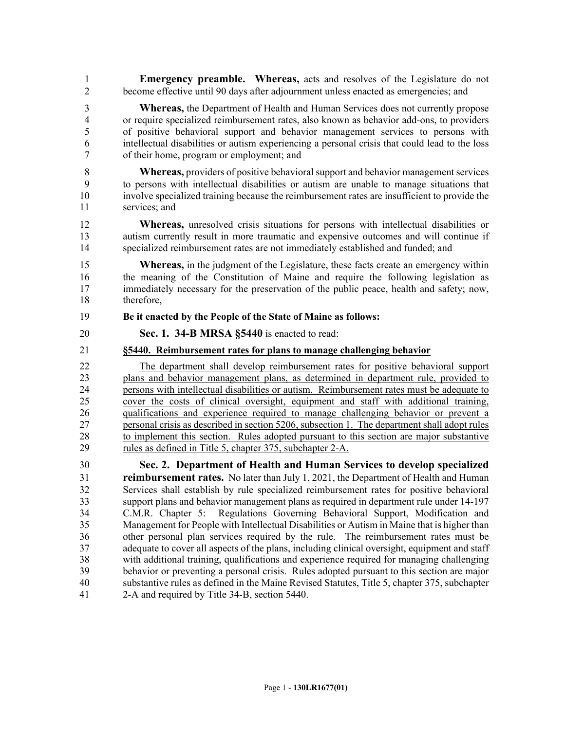1 **Emergency preamble. Whereas,** acts and resolves of the Legislature do not 2 become effective until 90 days after adjournment unless enacted as emergencies; and

3 **Whereas,** the Department of Health and Human Services does not currently propose 4 or require specialized reimbursement rates, also known as behavior add-ons, to providers 5 of positive behavioral support and behavior management services to persons with 6 intellectual disabilities or autism experiencing a personal crisis that could lead to the loss 7 of their home, program or employment; and

8 **Whereas,** providers of positive behavioral support and behavior management services 9 to persons with intellectual disabilities or autism are unable to manage situations that 10 involve specialized training because the reimbursement rates are insufficient to provide the 11 services; and

12 **Whereas,** unresolved crisis situations for persons with intellectual disabilities or 13 autism currently result in more traumatic and expensive outcomes and will continue if 14 specialized reimbursement rates are not immediately established and funded; and

15 **Whereas,** in the judgment of the Legislature, these facts create an emergency within 16 the meaning of the Constitution of Maine and require the following legislation as 17 immediately necessary for the preservation of the public peace, health and safety; now, 18 therefore,

#### 19 **Be it enacted by the People of the State of Maine as follows:**

20 **Sec. 1. 34-B MRSA §5440** is enacted to read:

### 21 **§5440. Reimbursement rates for plans to manage challenging behavior**

22 The department shall develop reimbursement rates for positive behavioral support 23 plans and behavior management plans, as determined in department rule, provided to 24 persons with intellectual disabilities or autism. Reimbursement rates must be adequate to 25 cover the costs of clinical oversight, equipment and staff with additional training, 26 qualifications and experience required to manage challenging behavior or prevent a 27 personal crisis as described in section 5206, subsection 1. The department shall adopt rules 28 to implement this section. Rules adopted pursuant to this section are major substantive 29 rules as defined in Title 5, chapter 375, subchapter 2-A.

30 **Sec. 2. Department of Health and Human Services to develop specialized**  31 **reimbursement rates.** No later than July 1, 2021, the Department of Health and Human 32 Services shall establish by rule specialized reimbursement rates for positive behavioral 33 support plans and behavior management plans as required in department rule under 14-197<br>34 C.M.R. Chapter 5: Regulations Governing Behavioral Support. Modification and C.M.R. Chapter 5: Regulations Governing Behavioral Support, Modification and 35 Management for People with Intellectual Disabilities or Autism in Maine that is higher than 36 other personal plan services required by the rule. The reimbursement rates must be 37 adequate to cover all aspects of the plans, including clinical oversight, equipment and staff 38 with additional training, qualifications and experience required for managing challenging 39 behavior or preventing a personal crisis. Rules adopted pursuant to this section are major 40 substantive rules as defined in the Maine Revised Statutes, Title 5, chapter 375, subchapter 41 2-A and required by Title 34-B, section 5440.